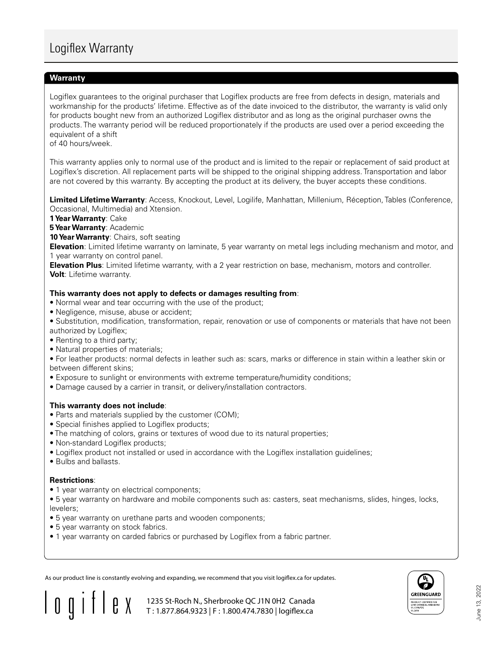# Logiflex Warranty

## **Warranty Warranty**

Logiflex guarantees to the original purchaser that Logiflex products are free from defects in design, materials and workmanship for the products' lifetime. Effective as of the date invoiced to the distributor, the warranty is valid only for products bought new from an authorized Logiflex distributor and as long as the original purchaser owns the products. The warranty period will be reduced proportionately if the products are used over a period exceeding the equivalent of a shift

of 40 hours/week.

This warranty applies only to normal use of the product and is limited to the repair or replacement of said product at Logiflex's discretion. All replacement parts will be shipped to the original shipping address. Transportation and labor are not covered by this warranty. By accepting the product at its delivery, the buyer accepts these conditions.

Limited Lifetime Warranty: Access, Knockout, Level, Logilife, Manhattan, Millenium, Réception, Tables (Conference, Occasional, Multimedia) and Xtension. Occasional, Multimedia)

**1 Year Warranty**: Cake **1 Year Warranty:** Cake

**5 Year Warranty**: Academic<br>Academic

**10 Year Warranty**: Chairs, soft seating **10 Year Warranty:** Chairs

**Elevation**: Limited lifetime warranty on laminate, 5 year warranty on metal legs including mechanism and motor, and<br>1 year warranty on control panel 1 year warranty on control panel.

**Elevation Plus**: Limited lifetime warranty, with a 2 year restriction on base, mechanism, motors and controller. **Volt**: Lifetime warranty, with a 2 year restriction on base, mechanism, mechanism, motors and controller.

### **This warranty does not apply to defects or damages resulting from**:

**• Normal wear and tear occurring with the use of the product;** 

• Negligence, misuse, abuse or accident;

• Substitution, modification, transformation, repair, renovation or use of components or materials that have not been<br>
• Negligition, modification, transformation, repair, renovation or use of components or materials that authorized by Logiflex; outhorized by Eegmex,<br>• Renting to a third party;

- 
- Natural properties of materials;

• For leather products: normal defects in leather such as: scars, marks or difference in stain within a leather skin or between different skins;

- $\bullet$  Exposure to sunlight or environments with extreme temperature/humidity conditions;
- Damage caused by a carrier in transit, or delivery/installation contractors.

# **This warranty does not include:**

- Parts and materials supplied by the customer (COM);
- Special finishes applied to Logiflex products;
- The matching of colors, grains or textures of wood due to its natural properties;
- Non-standard Logiflex products;
- Logiflex product not installed or used in accordance with the Logiflex installation guidelines;
- Bulbs and ballasts. Grains of wood due to its natural properties; natural properties; natural properties; natural properties; natural properties; natural properties; natural properties; natural properties; natural proper

#### **Restrictions**:  $\mathsf{Restrictions:}\n$

• 1 year warranty on electrical components;

• 5 year warranty on upholstery and casters.

• 5 year warranty on hardware and mobile components such as: casters, seat mechanisms, slides, hinges, locks, levelers;

> 1235 St-Roch N., Sherbrooke QC J1N 0H2 Canada T : 1.877.864.9323 | F : 1.800.474.7830 | logiflex.ca

- evelory,<br>• 5 year warranty on urethane parts and wooden components;
- 5 years computed to the component parts and
- 1 year warranty on carded fabrics or purchased by Logiflex from a fabric partner.

As our product line is constantly evolving and expanding, we recommend that you visit logiflex.ca for updates.



 $\frac{1}{2}$ <br> $\frac{1}{2}$ June 13, 2022 June 13, 2022